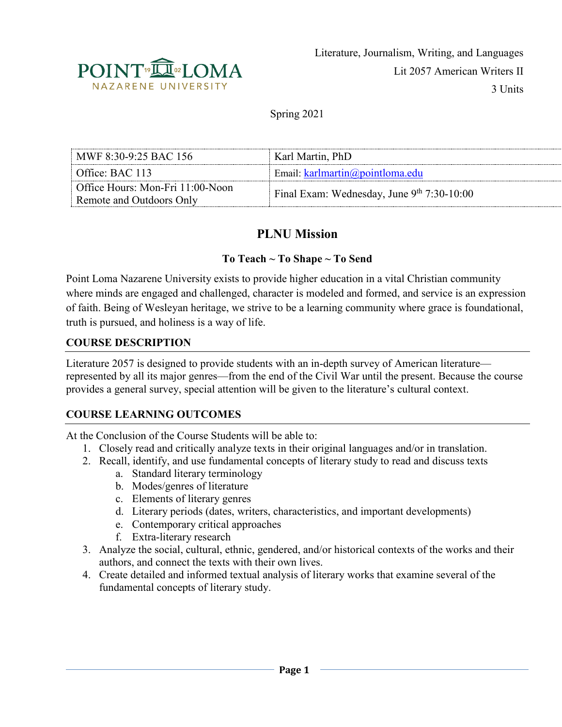

Spring 2021

| MWF 8:30-9:25 BAC 156            | Karl Martin, PhD                           |  |
|----------------------------------|--------------------------------------------|--|
| Office: BAC $113$                | Email: $k$ arlmartin( $a$ ) point loma.edu |  |
| Office Hours: Mon-Fri 11:00-Noon | Final Exam: Wednesday, June 9th 7:30-10:00 |  |
| Remote and Outdoors Only         |                                            |  |

# **PLNU Mission**

#### **To Teach ~ To Shape ~ To Send**

Point Loma Nazarene University exists to provide higher education in a vital Christian community where minds are engaged and challenged, character is modeled and formed, and service is an expression of faith. Being of Wesleyan heritage, we strive to be a learning community where grace is foundational, truth is pursued, and holiness is a way of life.

#### **COURSE DESCRIPTION**

Literature 2057 is designed to provide students with an in-depth survey of American literature represented by all its major genres—from the end of the Civil War until the present. Because the course provides a general survey, special attention will be given to the literature's cultural context.

### **COURSE LEARNING OUTCOMES**

At the Conclusion of the Course Students will be able to:

- 1. Closely read and critically analyze texts in their original languages and/or in translation.
- 2. Recall, identify, and use fundamental concepts of literary study to read and discuss texts
	- a. Standard literary terminology
	- b. Modes/genres of literature
	- c. Elements of literary genres
	- d. Literary periods (dates, writers, characteristics, and important developments)
	- e. Contemporary critical approaches
	- f. Extra-literary research
- 3. Analyze the social, cultural, ethnic, gendered, and/or historical contexts of the works and their authors, and connect the texts with their own lives.
- 4. Create detailed and informed textual analysis of literary works that examine several of the fundamental concepts of literary study.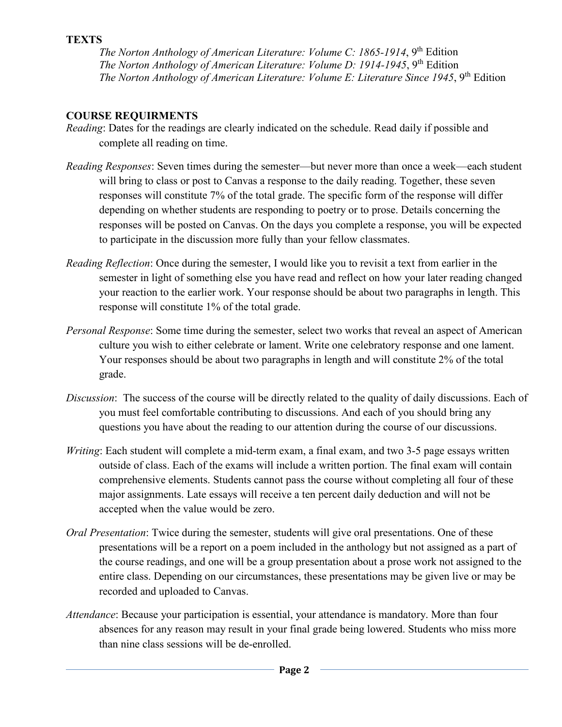#### **TEXTS**

*The Norton Anthology of American Literature: Volume C: 1865-1914*, 9<sup>th</sup> Edition *The Norton Anthology of American Literature: Volume D: 1914-1945*, 9<sup>th</sup> Edition *The Norton Anthology of American Literature: Volume E: Literature Since 1945*, 9<sup>th</sup> Edition

## **COURSE REQUIRMENTS**

- *Reading*: Dates for the readings are clearly indicated on the schedule. Read daily if possible and complete all reading on time.
- *Reading Responses*: Seven times during the semester—but never more than once a week—each student will bring to class or post to Canvas a response to the daily reading. Together, these seven responses will constitute 7% of the total grade. The specific form of the response will differ depending on whether students are responding to poetry or to prose. Details concerning the responses will be posted on Canvas. On the days you complete a response, you will be expected to participate in the discussion more fully than your fellow classmates.
- *Reading Reflection*: Once during the semester, I would like you to revisit a text from earlier in the semester in light of something else you have read and reflect on how your later reading changed your reaction to the earlier work. Your response should be about two paragraphs in length. This response will constitute 1% of the total grade.
- *Personal Response*: Some time during the semester, select two works that reveal an aspect of American culture you wish to either celebrate or lament. Write one celebratory response and one lament. Your responses should be about two paragraphs in length and will constitute 2% of the total grade.
- *Discussion*: The success of the course will be directly related to the quality of daily discussions. Each of you must feel comfortable contributing to discussions. And each of you should bring any questions you have about the reading to our attention during the course of our discussions.
- *Writing*: Each student will complete a mid-term exam, a final exam, and two 3-5 page essays written outside of class. Each of the exams will include a written portion. The final exam will contain comprehensive elements. Students cannot pass the course without completing all four of these major assignments. Late essays will receive a ten percent daily deduction and will not be accepted when the value would be zero.
- *Oral Presentation*: Twice during the semester, students will give oral presentations. One of these presentations will be a report on a poem included in the anthology but not assigned as a part of the course readings, and one will be a group presentation about a prose work not assigned to the entire class. Depending on our circumstances, these presentations may be given live or may be recorded and uploaded to Canvas.
- *Attendance*: Because your participation is essential, your attendance is mandatory. More than four absences for any reason may result in your final grade being lowered. Students who miss more than nine class sessions will be de-enrolled.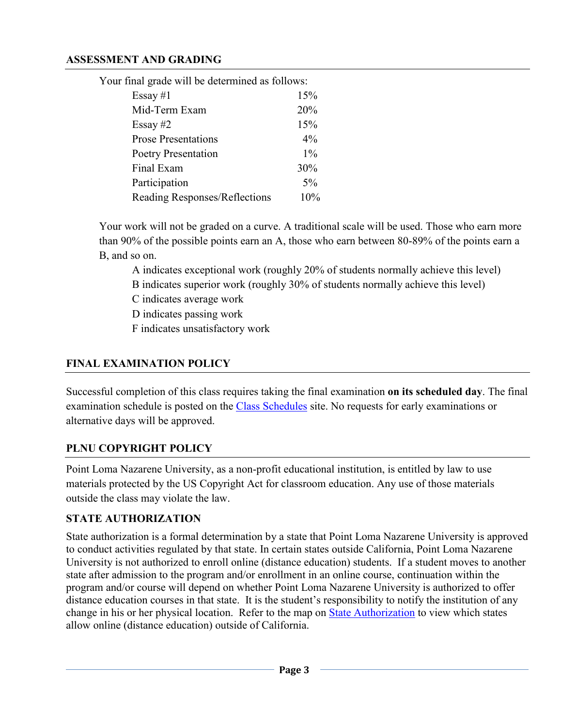#### **ASSESSMENT AND GRADING**

| Your final grade will be determined as follows: |       |
|-------------------------------------------------|-------|
| Essay #1                                        | 15%   |
| Mid-Term Exam                                   | 20%   |
| Essay $#2$                                      | 15%   |
| <b>Prose Presentations</b>                      | $4\%$ |
| Poetry Presentation                             | $1\%$ |
| Final Exam                                      | 30%   |
| Participation                                   | $5\%$ |
| Reading Responses/Reflections                   | 10%   |

Your work will not be graded on a curve. A traditional scale will be used. Those who earn more than 90% of the possible points earn an A, those who earn between 80-89% of the points earn a B, and so on.

A indicates exceptional work (roughly 20% of students normally achieve this level)

B indicates superior work (roughly 30% of students normally achieve this level)

C indicates average work

D indicates passing work

F indicates unsatisfactory work

## **FINAL EXAMINATION POLICY**

Successful completion of this class requires taking the final examination **on its scheduled day**. The final examination schedule is posted on the [Class Schedules](http://www.pointloma.edu/experience/academics/class-schedules) site. No requests for early examinations or alternative days will be approved.

### **PLNU COPYRIGHT POLICY**

Point Loma Nazarene University, as a non-profit educational institution, is entitled by law to use materials protected by the US Copyright Act for classroom education. Any use of those materials outside the class may violate the law.

### **STATE AUTHORIZATION**

State authorization is a formal determination by a state that Point Loma Nazarene University is approved to conduct activities regulated by that state. In certain states outside California, Point Loma Nazarene University is not authorized to enroll online (distance education) students. If a student moves to another state after admission to the program and/or enrollment in an online course, continuation within the program and/or course will depend on whether Point Loma Nazarene University is authorized to offer distance education courses in that state. It is the student's responsibility to notify the institution of any change in his or her physical location. Refer to the map on [State Authorization](https://www.pointloma.edu/offices/office-institutional-effectiveness-research/disclosures) to view which states allow online (distance education) outside of California.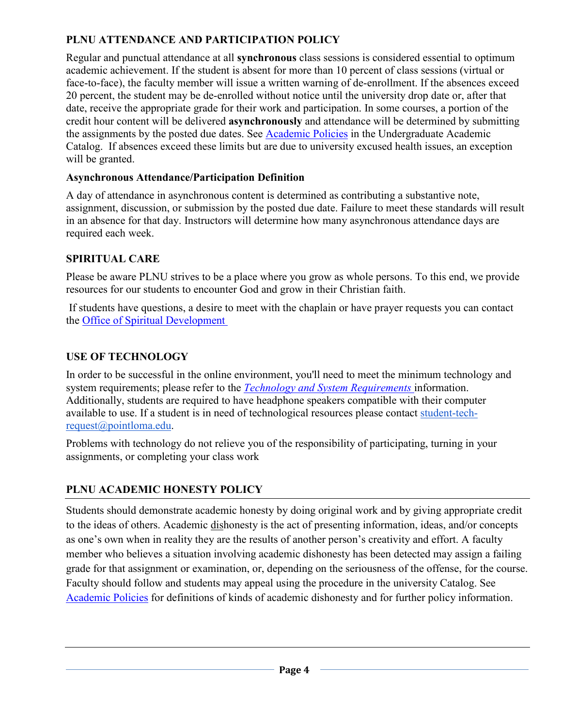# **PLNU ATTENDANCE AND PARTICIPATION POLICY**

Regular and punctual attendance at all **synchronous** class sessions is considered essential to optimum academic achievement. If the student is absent for more than 10 percent of class sessions (virtual or face-to-face), the faculty member will issue a written warning of de-enrollment. If the absences exceed 20 percent, the student may be de-enrolled without notice until the university drop date or, after that date, receive the appropriate grade for their work and participation. In some courses, a portion of the credit hour content will be delivered **asynchronously** and attendance will be determined by submitting the assignments by the posted due dates. See [Academic Policies](https://catalog.pointloma.edu/content.php?catoid=46&navoid=2650#Class_Attendance) in the Undergraduate Academic Catalog. If absences exceed these limits but are due to university excused health issues, an exception will be granted.

## **Asynchronous Attendance/Participation Definition**

A day of attendance in asynchronous content is determined as contributing a substantive note, assignment, discussion, or submission by the posted due date. Failure to meet these standards will result in an absence for that day. Instructors will determine how many asynchronous attendance days are required each week.

## **SPIRITUAL CARE**

Please be aware PLNU strives to be a place where you grow as whole persons. To this end, we provide resources for our students to encounter God and grow in their Christian faith.

If students have questions, a desire to meet with the chaplain or have prayer requests you can contact the [Office of Spiritual Development](https://www.pointloma.edu/offices/spiritual-development)

# **USE OF TECHNOLOGY**

In order to be successful in the online environment, you'll need to meet the minimum technology and system requirements; please refer to the *[Technology and System Requirements](https://help.pointloma.edu/TDClient/1808/Portal/KB/ArticleDet?ID=108349)* information. Additionally, students are required to have headphone speakers compatible with their computer available to use. If a student is in need of technological resources please contact [student-tech](mailto:student-tech-request@pointloma.edu)[request@pointloma.edu.](mailto:student-tech-request@pointloma.edu)

Problems with technology do not relieve you of the responsibility of participating, turning in your assignments, or completing your class work

# **PLNU ACADEMIC HONESTY POLICY**

Students should demonstrate academic honesty by doing original work and by giving appropriate credit to the ideas of others. Academic dishonesty is the act of presenting information, ideas, and/or concepts as one's own when in reality they are the results of another person's creativity and effort. A faculty member who believes a situation involving academic dishonesty has been detected may assign a failing grade for that assignment or examination, or, depending on the seriousness of the offense, for the course. Faculty should follow and students may appeal using the procedure in the university Catalog. See [Academic Policies](http://catalog.pointloma.edu/content.php?catoid=18&navoid=1278) for definitions of kinds of academic dishonesty and for further policy information.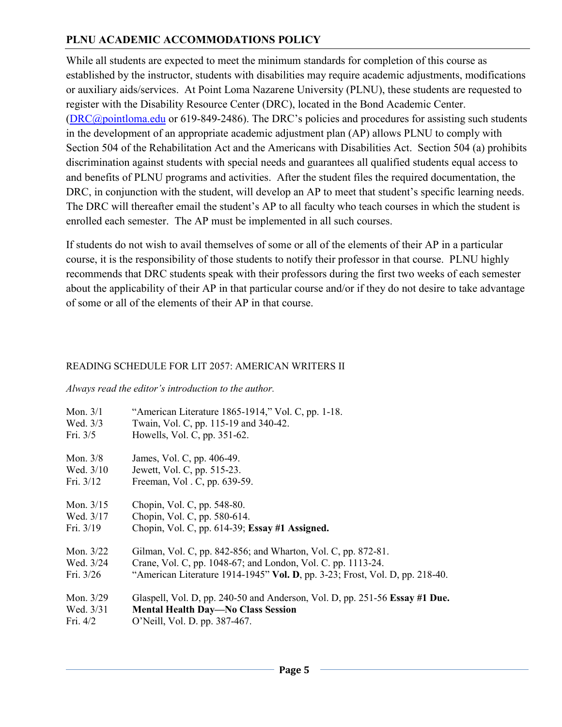# **PLNU ACADEMIC ACCOMMODATIONS POLICY**

While all students are expected to meet the minimum standards for completion of this course as established by the instructor, students with disabilities may require academic adjustments, modifications or auxiliary aids/services. At Point Loma Nazarene University (PLNU), these students are requested to register with the Disability Resource Center (DRC), located in the Bond Academic Center. [\(DRC@pointloma.edu](mailto:DRC@pointloma.edu) or 619-849-2486). The DRC's policies and procedures for assisting such students in the development of an appropriate academic adjustment plan (AP) allows PLNU to comply with Section 504 of the Rehabilitation Act and the Americans with Disabilities Act. Section 504 (a) prohibits discrimination against students with special needs and guarantees all qualified students equal access to and benefits of PLNU programs and activities. After the student files the required documentation, the DRC, in conjunction with the student, will develop an AP to meet that student's specific learning needs. The DRC will thereafter email the student's AP to all faculty who teach courses in which the student is enrolled each semester. The AP must be implemented in all such courses.

If students do not wish to avail themselves of some or all of the elements of their AP in a particular course, it is the responsibility of those students to notify their professor in that course. PLNU highly recommends that DRC students speak with their professors during the first two weeks of each semester about the applicability of their AP in that particular course and/or if they do not desire to take advantage of some or all of the elements of their AP in that course.

### READING SCHEDULE FOR LIT 2057: AMERICAN WRITERS II

*Always read the editor's introduction to the author.*

| Mon. $3/1$  | "American Literature 1865-1914," Vol. C, pp. 1-18.                           |
|-------------|------------------------------------------------------------------------------|
| Wed. 3/3    | Twain, Vol. C, pp. 115-19 and 340-42.                                        |
| Fri. 3/5    | Howells, Vol. C, pp. 351-62.                                                 |
| Mon. 3/8    | James, Vol. C, pp. 406-49.                                                   |
| Wed. 3/10   | Jewett, Vol. C, pp. 515-23.                                                  |
| Fri. 3/12   | Freeman, Vol. C, pp. 639-59.                                                 |
| Mon. $3/15$ | Chopin, Vol. C, pp. 548-80.                                                  |
| Wed. 3/17   | Chopin, Vol. C, pp. 580-614.                                                 |
| Fri. 3/19   | Chopin, Vol. C, pp. 614-39; Essay #1 Assigned.                               |
| Mon. 3/22   | Gilman, Vol. C, pp. 842-856; and Wharton, Vol. C, pp. 872-81.                |
| Wed. 3/24   | Crane, Vol. C, pp. 1048-67; and London, Vol. C. pp. 1113-24.                 |
| Fri. 3/26   | "American Literature 1914-1945" Vol. D, pp. 3-23; Frost, Vol. D, pp. 218-40. |
| Mon. 3/29   | Glaspell, Vol. D, pp. 240-50 and Anderson, Vol. D, pp. 251-56 Essay #1 Due.  |
| Wed. 3/31   | <b>Mental Health Day—No Class Session</b>                                    |
| Fri. 4/2    | O'Neill, Vol. D. pp. 387-467.                                                |